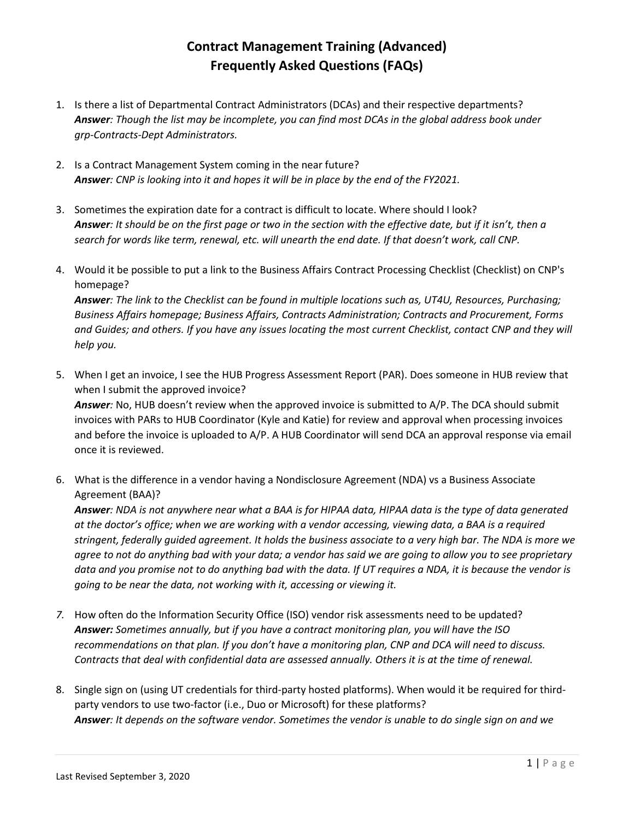## **Contract Management Training (Advanced) Frequently Asked Questions (FAQs)**

- 1. Is there a list of Departmental Contract Administrators (DCAs) and their respective departments? *Answer: Though the list may be incomplete, you can find most DCAs in the global address book under grp-Contracts-Dept Administrators.*
- 2. Is a Contract Management System coming in the near future? *Answer: CNP is looking into it and hopes it will be in place by the end of the FY2021.*
- 3. Sometimes the expiration date for a contract is difficult to locate. Where should I look? *Answer: It should be on the first page or two in the section with the effective date, but if it isn't, then a search for words like term, renewal, etc. will unearth the end date. If that doesn't work, call CNP.*
- 4. Would it be possible to put a link to the Business Affairs Contract Processing Checklist (Checklist) on CNP's homepage?

*Answer: The link to the Checklist can be found in multiple locations such as, UT4U, Resources, Purchasing; Business Affairs homepage; Business Affairs, Contracts Administration; Contracts and Procurement, Forms and Guides; and others. If you have any issues locating the most current Checklist, contact CNP and they will help you.*

- 5. When I get an invoice, I see the HUB Progress Assessment Report (PAR). Does someone in HUB review that when I submit the approved invoice? *Answer:* No, HUB doesn't review when the approved invoice is submitted to A/P. The DCA should submit invoices with PARs to HUB Coordinator (Kyle and Katie) for review and approval when processing invoices and before the invoice is uploaded to A/P. A HUB Coordinator will send DCA an approval response via email once it is reviewed.
- 6. What is the difference in a vendor having a Nondisclosure Agreement (NDA) vs a Business Associate Agreement (BAA)?

*Answer: NDA is not anywhere near what a BAA is for HIPAA data, HIPAA data is the type of data generated at the doctor's office; when we are working with a vendor accessing, viewing data, a BAA is a required stringent, federally guided agreement. It holds the business associate to a very high bar. The NDA is more we agree to not do anything bad with your data; a vendor has said we are going to allow you to see proprietary data and you promise not to do anything bad with the data. If UT requires a NDA, it is because the vendor is going to be near the data, not working with it, accessing or viewing it.*

- *7.* How often do the Information Security Office (ISO) vendor risk assessments need to be updated? *Answer: Sometimes annually, but if you have a contract monitoring plan, you will have the ISO recommendations on that plan. If you don't have a monitoring plan, CNP and DCA will need to discuss. Contracts that deal with confidential data are assessed annually. Others it is at the time of renewal.*
- 8. Single sign on (using UT credentials for third-party hosted platforms). When would it be required for thirdparty vendors to use two-factor (i.e., Duo or Microsoft) for these platforms? *Answer: It depends on the software vendor. Sometimes the vendor is unable to do single sign on and we*